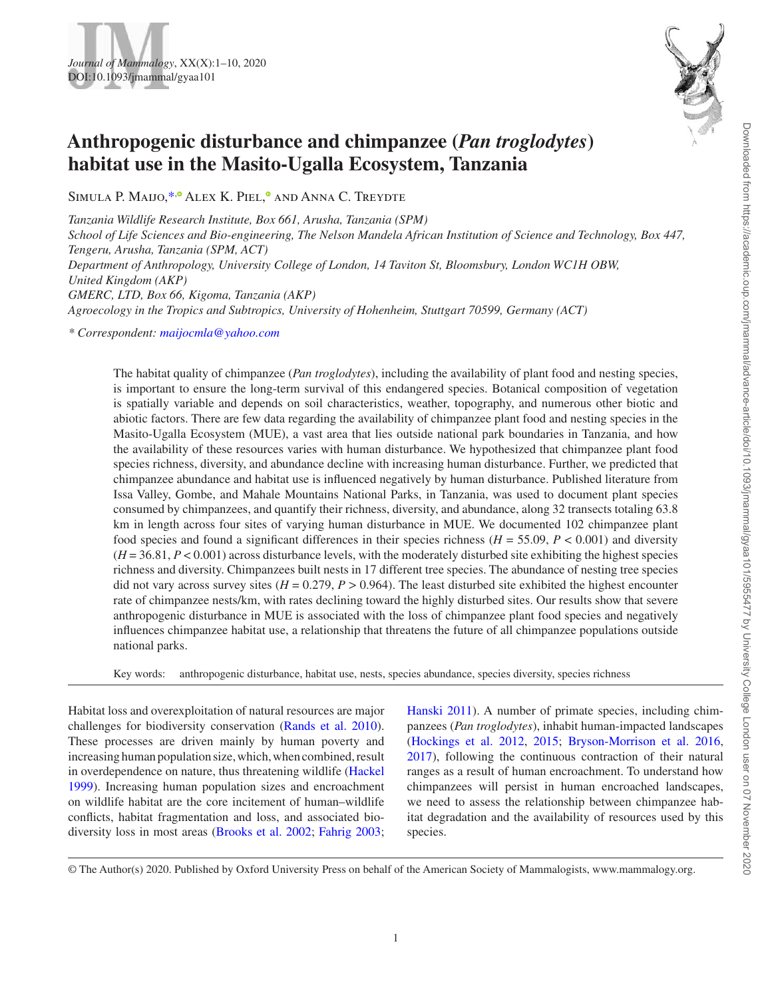

# **Anthropogenic disturbance and chimpanzee (***Pan troglodytes***) habitat use in the Masito-Ugalla Ecosystem, Tanzania**

SIMULA P. MAIJO[,](http://orcid.org/0000-0002-4674-537X) \*,<sup>®</sup> ALEX K. PIEL,<sup>®</sup> AND ANNA C. TREYDTE

*Tanzania Wildlife Research Institute, Box 661, Arusha, Tanzania (SPM) School of Life Sciences and Bio-engineering, The Nelson Mandela African Institution of Science and Technology, Box 447, Tengeru, Arusha, Tanzania (SPM, ACT) Department of Anthropology, University College of London, 14 Taviton St, Bloomsbury, London WC1H OBW, United Kingdom (AKP) GMERC, LTD, Box 66, Kigoma, Tanzania (AKP) Agroecology in the Tropics and Subtropics, University of Hohenheim, Stuttgart 70599, Germany (ACT)*

<span id="page-0-0"></span>*\* Correspondent: [maijocmla@yahoo.com](mailto:maijocmla@yahoo.com?subject=)*

The habitat quality of chimpanzee (*Pan troglodytes*), including the availability of plant food and nesting species, is important to ensure the long-term survival of this endangered species. Botanical composition of vegetation is spatially variable and depends on soil characteristics, weather, topography, and numerous other biotic and abiotic factors. There are few data regarding the availability of chimpanzee plant food and nesting species in the Masito-Ugalla Ecosystem (MUE), a vast area that lies outside national park boundaries in Tanzania, and how the availability of these resources varies with human disturbance. We hypothesized that chimpanzee plant food species richness, diversity, and abundance decline with increasing human disturbance. Further, we predicted that chimpanzee abundance and habitat use is influenced negatively by human disturbance. Published literature from Issa Valley, Gombe, and Mahale Mountains National Parks, in Tanzania, was used to document plant species consumed by chimpanzees, and quantify their richness, diversity, and abundance, along 32 transects totaling 63.8 km in length across four sites of varying human disturbance in MUE. We documented 102 chimpanzee plant food species and found a significant differences in their species richness ( $H = 55.09$ ,  $P < 0.001$ ) and diversity  $(H = 36.81, P < 0.001)$  across disturbance levels, with the moderately disturbed site exhibiting the highest species richness and diversity. Chimpanzees built nests in 17 different tree species. The abundance of nesting tree species did not vary across survey sites  $(H = 0.279, P > 0.964)$ . The least disturbed site exhibited the highest encounter rate of chimpanzee nests/km, with rates declining toward the highly disturbed sites. Our results show that severe anthropogenic disturbance in MUE is associated with the loss of chimpanzee plant food species and negatively influences chimpanzee habitat use, a relationship that threatens the future of all chimpanzee populations outside national parks.

Key words: anthropogenic disturbance, habitat use, nests, species abundance, species diversity, species richness

Habitat loss and overexploitation of natural resources are major challenges for biodiversity conservation [\(Rands et al. 2010](#page-9-0)). These processes are driven mainly by human poverty and increasing human population size, which, when combined, result in overdependence on nature, thus threatening wildlife ([Hackel](#page-8-0)  [1999](#page-8-0)). Increasing human population sizes and encroachment on wildlife habitat are the core incitement of human–wildlife conflicts, habitat fragmentation and loss, and associated biodiversity loss in most areas [\(Brooks et al. 2002](#page-7-0); [Fahrig 2003](#page-8-1); [Hanski 2011\)](#page-8-2). A number of primate species, including chimpanzees (*Pan troglodytes*), inhabit human-impacted landscapes [\(Hockings et al. 2012,](#page-8-3) [2015](#page-8-4); [Bryson-Morrison et al. 2016,](#page-8-5) [2017](#page-8-6)), following the continuous contraction of their natural ranges as a result of human encroachment. To understand how chimpanzees will persist in human encroached landscapes, we need to assess the relationship between chimpanzee habitat degradation and the availability of resources used by this species.

© The Author(s) 2020. Published by Oxford University Press on behalf of the American Society of Mammalogists, www.mammalogy.org.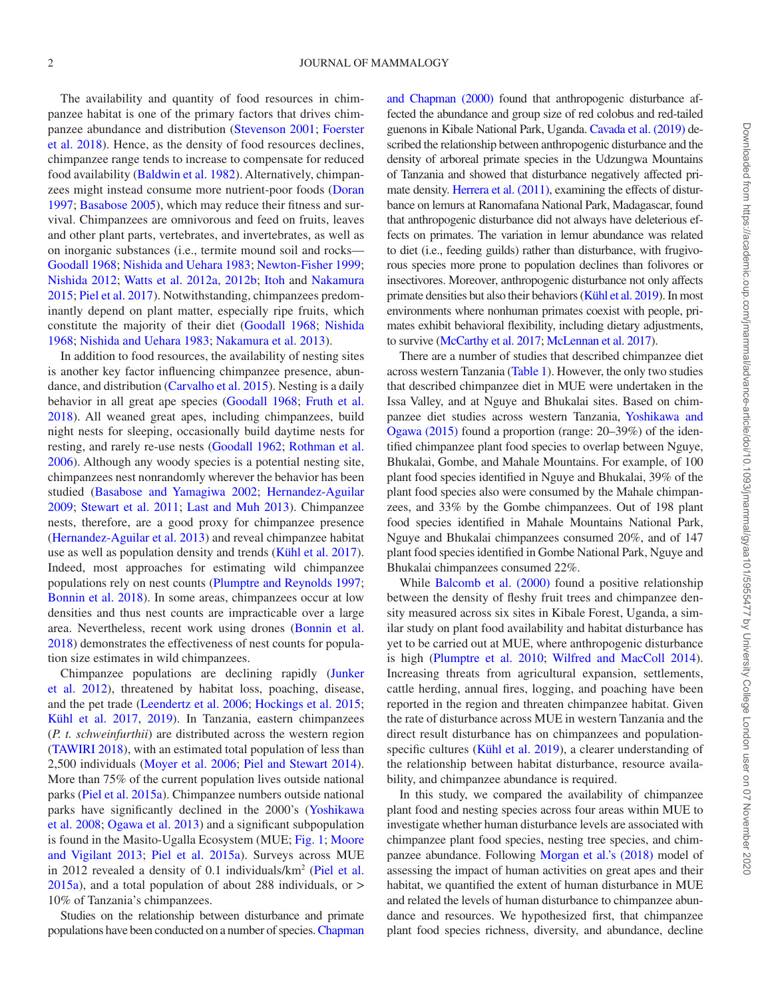The availability and quantity of food resources in chimpanzee habitat is one of the primary factors that drives chimpanzee abundance and distribution ([Stevenson 2001](#page-9-1); [Foerster](#page-8-7) [et al. 2018](#page-8-7)). Hence, as the density of food resources declines, chimpanzee range tends to increase to compensate for reduced food availability ([Baldwin et al. 1982\)](#page-7-1). Alternatively, chimpanzees might instead consume more nutrient-poor foods ([Doran](#page-8-8) [1997](#page-8-8); [Basabose 2005\)](#page-7-2), which may reduce their fitness and survival. Chimpanzees are omnivorous and feed on fruits, leaves and other plant parts, vertebrates, and invertebrates, as well as on inorganic substances (i.e., termite mound soil and rocks— [Goodall 1968;](#page-8-9) [Nishida and Uehara 1983;](#page-9-2) [Newton-Fisher 1999](#page-9-3); [Nishida 2012;](#page-9-4) [Watts et al. 2012a,](#page-9-5) [2012b;](#page-9-6) [Itoh](#page-8-10) and [Nakamura](#page-9-7) [2015](#page-9-7); [Piel et al. 2017\)](#page-9-8). Notwithstanding, chimpanzees predominantly depend on plant matter, especially ripe fruits, which constitute the majority of their diet ([Goodall 1968;](#page-8-9) [Nishida](#page-9-9) [1968](#page-9-9); [Nishida and Uehara 1983](#page-9-2); [Nakamura et al. 2013](#page-9-10)).

In addition to food resources, the availability of nesting sites is another key factor influencing chimpanzee presence, abundance, and distribution ([Carvalho et al. 2015\)](#page-8-11). Nesting is a daily behavior in all great ape species ([Goodall 1968;](#page-8-9) [Fruth et al.](#page-8-12)  [2018](#page-8-12)). All weaned great apes, including chimpanzees, build night nests for sleeping, occasionally build daytime nests for resting, and rarely re-use nests [\(Goodall 1962;](#page-8-13) [Rothman et al.](#page-9-11) [2006](#page-9-11)). Although any woody species is a potential nesting site, chimpanzees nest nonrandomly wherever the behavior has been studied [\(Basabose and Yamagiwa 2002;](#page-7-3) [Hernandez-Aguilar](#page-8-14) [2009](#page-8-14); [Stewart et al. 2011](#page-9-12); [Last and Muh 2013\)](#page-8-15). Chimpanzee nests, therefore, are a good proxy for chimpanzee presence [\(Hernandez-Aguilar et al. 2013\)](#page-8-16) and reveal chimpanzee habitat use as well as population density and trends ([Kühl et al. 2017](#page-8-17)). Indeed, most approaches for estimating wild chimpanzee populations rely on nest counts [\(Plumptre and Reynolds 1997](#page-9-13); [Bonnin et al. 2018\)](#page-7-4). In some areas, chimpanzees occur at low densities and thus nest counts are impracticable over a large area. Nevertheless, recent work using drones ([Bonnin et al.](#page-7-4) [2018](#page-7-4)) demonstrates the effectiveness of nest counts for population size estimates in wild chimpanzees.

Chimpanzee populations are declining rapidly [\(Junker](#page-8-18) [et al. 2012](#page-8-18)), threatened by habitat loss, poaching, disease, and the pet trade [\(Leendertz et al. 2006;](#page-8-19) [Hockings et al. 2015](#page-8-4); [Kühl et al. 2017,](#page-8-17) [2019](#page-8-20)). In Tanzania, eastern chimpanzees (*P. t. schweinfurthii*) are distributed across the western region [\(TAWIRI 2018\)](#page-9-14), with an estimated total population of less than 2,500 individuals [\(Moyer et al. 2006](#page-9-15); [Piel and Stewart 2014](#page-9-16)). More than 75% of the current population lives outside national parks [\(Piel et al. 2015a\)](#page-9-17). Chimpanzee numbers outside national parks have significantly declined in the 2000's [\(Yoshikawa](#page-9-18) [et al. 2008](#page-9-18); [Ogawa et al. 2013](#page-9-19)) and a significant subpopulation is found in the Masito-Ugalla Ecosystem (MUE; [Fig. 1](#page-2-0); [Moore](#page-8-21) [and Vigilant 2013](#page-8-21); [Piel et al. 2015a\)](#page-9-17). Surveys across MUE in 2012 revealed a density of 0.1 individuals/km<sup>2</sup> [\(Piel et al.](#page-9-17) [2015a](#page-9-17)), and a total population of about 288 individuals, or > 10% of Tanzania's chimpanzees.

Studies on the relationship between disturbance and primate populations have been conducted on a number of species. [Chapman](#page-8-22)  [and Chapman \(2000\)](#page-8-22) found that anthropogenic disturbance affected the abundance and group size of red colobus and red-tailed guenons in Kibale National Park, Uganda. [Cavada et al. \(2019\)](#page-8-23) described the relationship between anthropogenic disturbance and the density of arboreal primate species in the Udzungwa Mountains of Tanzania and showed that disturbance negatively affected primate density. [Herrera et al. \(2011\),](#page-8-24) examining the effects of disturbance on lemurs at Ranomafana National Park, Madagascar, found that anthropogenic disturbance did not always have deleterious effects on primates. The variation in lemur abundance was related to diet (i.e., feeding guilds) rather than disturbance, with frugivorous species more prone to population declines than folivores or insectivores. Moreover, anthropogenic disturbance not only affects primate densities but also their behaviors [\(Kühl et al. 2019](#page-8-20)). In most environments where nonhuman primates coexist with people, primates exhibit behavioral flexibility, including dietary adjustments, to survive [\(McCarthy et al. 2017](#page-8-25); [McLennan et al. 2017\)](#page-8-26).

There are a number of studies that described chimpanzee diet across western Tanzania ([Table 1](#page-2-1)). However, the only two studies that described chimpanzee diet in MUE were undertaken in the Issa Valley, and at Nguye and Bhukalai sites. Based on chimpanzee diet studies across western Tanzania, [Yoshikawa and](#page-9-20)  [Ogawa \(2015\)](#page-9-20) found a proportion (range: 20–39%) of the identified chimpanzee plant food species to overlap between Nguye, Bhukalai, Gombe, and Mahale Mountains. For example, of 100 plant food species identified in Nguye and Bhukalai, 39% of the plant food species also were consumed by the Mahale chimpanzees, and 33% by the Gombe chimpanzees. Out of 198 plant food species identified in Mahale Mountains National Park, Nguye and Bhukalai chimpanzees consumed 20%, and of 147 plant food species identified in Gombe National Park, Nguye and Bhukalai chimpanzees consumed 22%.

While Balcomb et al. (2000) found a positive relationship between the density of fleshy fruit trees and chimpanzee density measured across six sites in Kibale Forest, Uganda, a similar study on plant food availability and habitat disturbance has yet to be carried out at MUE, where anthropogenic disturbance is high ([Plumptre et al. 2010](#page-9-21); [Wilfred and MacColl 2014](#page-9-22)). Increasing threats from agricultural expansion, settlements, cattle herding, annual fires, logging, and poaching have been reported in the region and threaten chimpanzee habitat. Given the rate of disturbance across MUE in western Tanzania and the direct result disturbance has on chimpanzees and populationspecific cultures [\(Kühl et al. 2019\)](#page-8-20), a clearer understanding of the relationship between habitat disturbance, resource availability, and chimpanzee abundance is required.

In this study, we compared the availability of chimpanzee plant food and nesting species across four areas within MUE to investigate whether human disturbance levels are associated with chimpanzee plant food species, nesting tree species, and chimpanzee abundance. Following [Morgan et al.'s \(2018\)](#page-8-27) model of assessing the impact of human activities on great apes and their habitat, we quantified the extent of human disturbance in MUE and related the levels of human disturbance to chimpanzee abundance and resources. We hypothesized first, that chimpanzee plant food species richness, diversity, and abundance, decline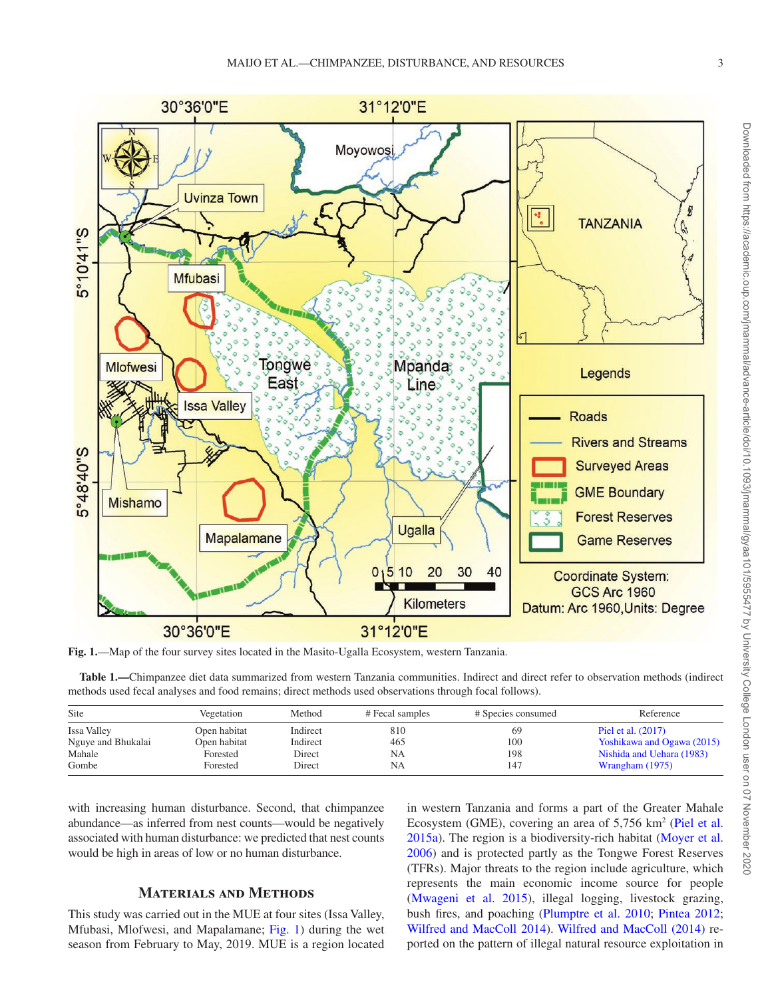

<span id="page-2-0"></span>**Fig. 1.**—Map of the four survey sites located in the Masito-Ugalla Ecosystem, western Tanzania.

<span id="page-2-1"></span>**Table 1.—**Chimpanzee diet data summarized from western Tanzania communities. Indirect and direct refer to observation methods (indirect methods used fecal analyses and food remains; direct methods used observations through focal follows).

| Site               | Vegetation   | Method   | # Fecal samples | # Species consumed | Reference                  |  |
|--------------------|--------------|----------|-----------------|--------------------|----------------------------|--|
| <b>Issa Valley</b> | Open habitat | Indirect | 810             | 69                 | Piel et al. (2017)         |  |
| Nguye and Bhukalai | Open habitat | Indirect | 465             | 100                | Yoshikawa and Ogawa (2015) |  |
| Mahale             | Forested     | Direct   | <b>NA</b>       | 198                | Nishida and Uehara (1983)  |  |
| Gombe              | Forested     | Direct   | <b>NA</b>       | 147                | Wrangham $(1975)$          |  |

with increasing human disturbance. Second, that chimpanzee abundance—as inferred from nest counts—would be negatively associated with human disturbance: we predicted that nest counts would be high in areas of low or no human disturbance.

# **Materials and Methods**

This study was carried out in the MUE at four sites (Issa Valley, Mfubasi, Mlofwesi, and Mapalamane; [Fig. 1](#page-2-0)) during the wet season from February to May, 2019. MUE is a region located in western Tanzania and forms a part of the Greater Mahale Ecosystem (GME), covering an area of  $5,756 \text{ km}^2$  ([Piel et al.](#page-9-17) [2015a](#page-9-17)). The region is a biodiversity-rich habitat [\(Moyer et al.](#page-9-15)  [2006\)](#page-9-15) and is protected partly as the Tongwe Forest Reserves (TFRs). Major threats to the region include agriculture, which represents the main economic income source for people [\(Mwageni et al. 2015\)](#page-9-23), illegal logging, livestock grazing, bush fires, and poaching ([Plumptre et al. 2010;](#page-9-21) [Pintea 2012](#page-9-24); [Wilfred and MacColl 2014](#page-9-22)). [Wilfred and MacColl \(2014\)](#page-9-22) reported on the pattern of illegal natural resource exploitation in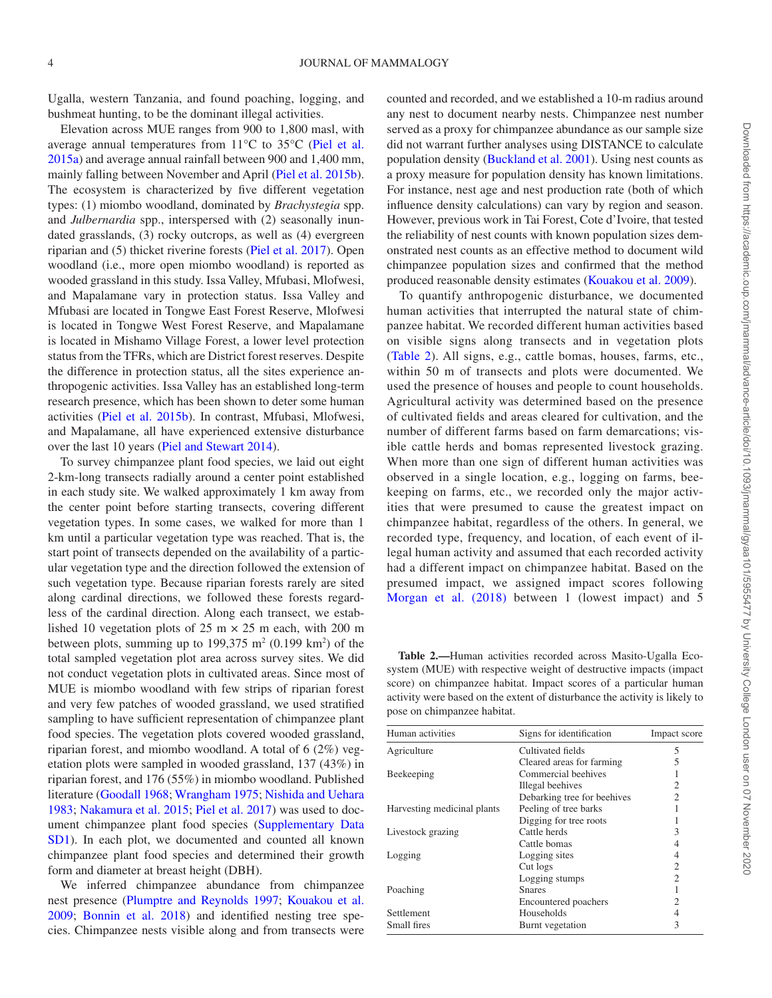Ugalla, western Tanzania, and found poaching, logging, and bushmeat hunting, to be the dominant illegal activities.

Elevation across MUE ranges from 900 to 1,800 masl, with average annual temperatures from 11°C to 35°C [\(Piel et al.](#page-9-17)  [2015a](#page-9-17)) and average annual rainfall between 900 and 1,400 mm, mainly falling between November and April ([Piel et al. 2015b](#page-9-26)). The ecosystem is characterized by five different vegetation types: (1) miombo woodland, dominated by *Brachystegia* spp. and *Julbernardia* spp., interspersed with (2) seasonally inundated grasslands, (3) rocky outcrops, as well as (4) evergreen riparian and (5) thicket riverine forests ([Piel et al. 2017\)](#page-9-8). Open woodland (i.e., more open miombo woodland) is reported as wooded grassland in this study. Issa Valley, Mfubasi, Mlofwesi, and Mapalamane vary in protection status. Issa Valley and Mfubasi are located in Tongwe East Forest Reserve, Mlofwesi is located in Tongwe West Forest Reserve, and Mapalamane is located in Mishamo Village Forest, a lower level protection status from the TFRs, which are District forest reserves. Despite the difference in protection status, all the sites experience anthropogenic activities. Issa Valley has an established long-term research presence, which has been shown to deter some human activities ([Piel et al. 2015b](#page-9-26)). In contrast, Mfubasi, Mlofwesi, and Mapalamane, all have experienced extensive disturbance over the last 10 years ([Piel and Stewart 2014](#page-9-16)).

To survey chimpanzee plant food species, we laid out eight 2-km-long transects radially around a center point established in each study site. We walked approximately 1 km away from the center point before starting transects, covering different vegetation types. In some cases, we walked for more than 1 km until a particular vegetation type was reached. That is, the start point of transects depended on the availability of a particular vegetation type and the direction followed the extension of such vegetation type. Because riparian forests rarely are sited along cardinal directions, we followed these forests regardless of the cardinal direction. Along each transect, we established 10 vegetation plots of 25 m  $\times$  25 m each, with 200 m between plots, summing up to  $199,375$  m<sup>2</sup> (0.199 km<sup>2</sup>) of the total sampled vegetation plot area across survey sites. We did not conduct vegetation plots in cultivated areas. Since most of MUE is miombo woodland with few strips of riparian forest and very few patches of wooded grassland, we used stratified sampling to have sufficient representation of chimpanzee plant food species. The vegetation plots covered wooded grassland, riparian forest, and miombo woodland. A total of 6 (2%) vegetation plots were sampled in wooded grassland, 137 (43%) in riparian forest, and 176 (55%) in miombo woodland. Published literature ([Goodall 1968](#page-8-9); [Wrangham 1975](#page-9-25); [Nishida and Uehara](#page-9-2) [1983;](#page-9-2) [Nakamura et al. 2015;](#page-9-7) [Piel et al. 2017\)](#page-9-8) was used to document chimpanzee plant food species ([Supplementary Data](http://academic.oup.com/jmammal/article-lookup/doi/10.1093/jmammal/gyaa101#supplementary-data)  [SD1\)](http://academic.oup.com/jmammal/article-lookup/doi/10.1093/jmammal/gyaa101#supplementary-data). In each plot, we documented and counted all known chimpanzee plant food species and determined their growth form and diameter at breast height (DBH).

We inferred chimpanzee abundance from chimpanzee nest presence [\(Plumptre and Reynolds 1997](#page-9-13); [Kouakou et al.](#page-8-28)  [2009;](#page-8-28) [Bonnin et al. 2018](#page-7-4)) and identified nesting tree species. Chimpanzee nests visible along and from transects were counted and recorded, and we established a 10-m radius around any nest to document nearby nests. Chimpanzee nest number served as a proxy for chimpanzee abundance as our sample size did not warrant further analyses using DISTANCE to calculate population density ([Buckland et al. 2001\)](#page-8-29). Using nest counts as a proxy measure for population density has known limitations. For instance, nest age and nest production rate (both of which influence density calculations) can vary by region and season. However, previous work in Tai Forest, Cote d'Ivoire, that tested the reliability of nest counts with known population sizes demonstrated nest counts as an effective method to document wild chimpanzee population sizes and confirmed that the method produced reasonable density estimates [\(Kouakou et al. 2009](#page-8-28)).

To quantify anthropogenic disturbance, we documented human activities that interrupted the natural state of chimpanzee habitat. We recorded different human activities based on visible signs along transects and in vegetation plots ([Table 2](#page-3-0)). All signs, e.g., cattle bomas, houses, farms, etc., within 50 m of transects and plots were documented. We used the presence of houses and people to count households. Agricultural activity was determined based on the presence of cultivated fields and areas cleared for cultivation, and the number of different farms based on farm demarcations; visible cattle herds and bomas represented livestock grazing. When more than one sign of different human activities was observed in a single location, e.g., logging on farms, beekeeping on farms, etc., we recorded only the major activities that were presumed to cause the greatest impact on chimpanzee habitat, regardless of the others. In general, we recorded type, frequency, and location, of each event of illegal human activity and assumed that each recorded activity had a different impact on chimpanzee habitat. Based on the presumed impact, we assigned impact scores following Morgan et al. (2018) between 1 (lowest impact) and 5

<span id="page-3-0"></span>**Table 2.—**Human activities recorded across Masito-Ugalla Ecosystem (MUE) with respective weight of destructive impacts (impact score) on chimpanzee habitat. Impact scores of a particular human activity were based on the extent of disturbance the activity is likely to pose on chimpanzee habitat.

| Human activities            | Signs for identification    | Impact score   |
|-----------------------------|-----------------------------|----------------|
| Agriculture                 | Cultivated fields           | 5              |
|                             | Cleared areas for farming   | 5              |
| Beekeeping                  | Commercial beehives         |                |
|                             | Illegal beehives            | 2              |
|                             | Debarking tree for beehives | $\mathfrak{D}$ |
| Harvesting medicinal plants | Peeling of tree barks       |                |
|                             | Digging for tree roots      |                |
| Livestock grazing           | Cattle herds                | 3              |
|                             | Cattle bomas                | 4              |
| Logging                     | Logging sites               | 4              |
|                             | Cut logs                    | $\mathfrak{2}$ |
|                             | Logging stumps              | $\mathfrak{D}$ |
| Poaching                    | <b>Snares</b>               |                |
|                             | Encountered poachers        | $\overline{c}$ |
| Settlement                  | Households                  | 4              |
| Small fires                 | Burnt vegetation            | 3              |
|                             |                             |                |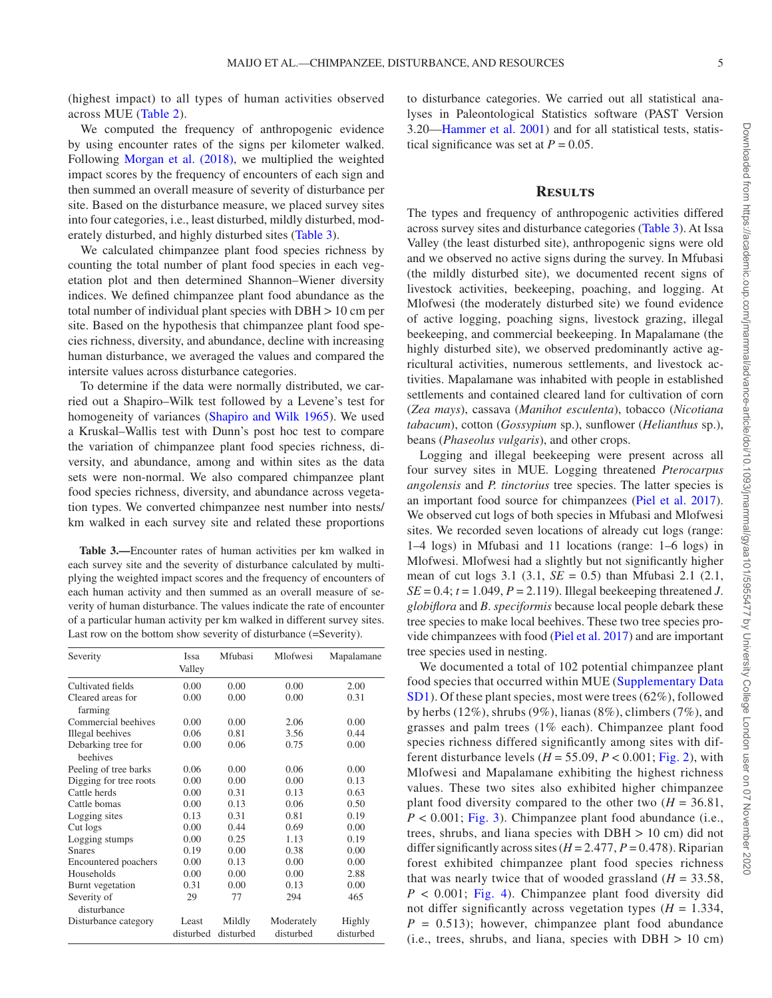(highest impact) to all types of human activities observed across MUE ([Table 2](#page-3-0)).

We computed the frequency of anthropogenic evidence by using encounter rates of the signs per kilometer walked. Following [Morgan et al. \(2018\)](#page-8-27), we multiplied the weighted impact scores by the frequency of encounters of each sign and then summed an overall measure of severity of disturbance per site. Based on the disturbance measure, we placed survey sites into four categories, i.e., least disturbed, mildly disturbed, moderately disturbed, and highly disturbed sites [\(Table 3\)](#page-4-0).

We calculated chimpanzee plant food species richness by counting the total number of plant food species in each vegetation plot and then determined Shannon–Wiener diversity indices. We defined chimpanzee plant food abundance as the total number of individual plant species with DBH > 10 cm per site. Based on the hypothesis that chimpanzee plant food species richness, diversity, and abundance, decline with increasing human disturbance, we averaged the values and compared the intersite values across disturbance categories.

To determine if the data were normally distributed, we carried out a Shapiro–Wilk test followed by a Levene's test for homogeneity of variances ([Shapiro and Wilk 1965](#page-9-27)). We used a Kruskal–Wallis test with Dunn's post hoc test to compare the variation of chimpanzee plant food species richness, diversity, and abundance, among and within sites as the data sets were non-normal. We also compared chimpanzee plant food species richness, diversity, and abundance across vegetation types. We converted chimpanzee nest number into nests/ km walked in each survey site and related these proportions

<span id="page-4-0"></span>**Table 3.—**Encounter rates of human activities per km walked in each survey site and the severity of disturbance calculated by multiplying the weighted impact scores and the frequency of encounters of each human activity and then summed as an overall measure of severity of human disturbance. The values indicate the rate of encounter of a particular human activity per km walked in different survey sites. Last row on the bottom show severity of disturbance (=Severity).

| Severity                       | Issa<br>Valley     | Mfubasi             | Mlofwesi                | Mapalamane          |
|--------------------------------|--------------------|---------------------|-------------------------|---------------------|
| Cultivated fields              | 0.00               | 0.00                | 0.00                    | 2.00                |
| Cleared areas for<br>farming   | 0.00               | 0.00                | 0.00                    | 0.31                |
| Commercial beehives            | 0.00               | 0.00                | 2.06                    | 0.00                |
| Illegal beehives               | 0.06               | 0.81                | 3.56                    | 0.44                |
| Debarking tree for<br>beehives | 0.00               | 0.06                | 0.75                    | 0.00                |
| Peeling of tree barks          | 0.06               | 0.00                | 0.06                    | 0.00                |
| Digging for tree roots         | 0.00               | 0.00                | 0.00                    | 0.13                |
| Cattle herds                   | 0.00               | 0.31                | 0.13                    | 0.63                |
| Cattle bomas                   | 0.00               | 0.13                | 0.06                    | 0.50                |
| Logging sites                  | 0.13               | 0.31                | 0.81                    | 0.19                |
| Cut logs                       | 0.00               | 0.44                | 0.69                    | 0.00                |
| Logging stumps                 | 0.00               | 0.25                | 1.13                    | 0.19                |
| <b>S</b> nares                 | 0.19               | 0.00                | 0.38                    | 0.00                |
| Encountered poachers           | 0.00               | 0.13                | 0.00                    | 0.00                |
| Households                     | 0.00               | 0.00                | 0.00                    | 2.88                |
| Burnt vegetation               | 0.31               | 0.00                | 0.13                    | 0.00                |
| Severity of<br>disturbance     | 29                 | 77                  | 294                     | 465                 |
| Disturbance category           | Least<br>disturbed | Mildly<br>disturbed | Moderately<br>disturbed | Highly<br>disturbed |

to disturbance categories. We carried out all statistical analyses in Paleontological Statistics software (PAST Version 3.20[—Hammer et al. 2001](#page-8-30)) and for all statistical tests, statistical significance was set at  $P = 0.05$ .

#### **Results**

The types and frequency of anthropogenic activities differed across survey sites and disturbance categories ([Table 3\)](#page-4-0). At Issa Valley (the least disturbed site), anthropogenic signs were old and we observed no active signs during the survey. In Mfubasi (the mildly disturbed site), we documented recent signs of livestock activities, beekeeping, poaching, and logging. At Mlofwesi (the moderately disturbed site) we found evidence of active logging, poaching signs, livestock grazing, illegal beekeeping, and commercial beekeeping. In Mapalamane (the highly disturbed site), we observed predominantly active agricultural activities, numerous settlements, and livestock activities. Mapalamane was inhabited with people in established settlements and contained cleared land for cultivation of corn (*Zea mays*), cassava (*Manihot esculenta*), tobacco (*Nicotiana tabacum*), cotton (*Gossypium* sp.), sunflower (*Helianthus* sp.), beans (*Phaseolus vulgaris*), and other crops.

Logging and illegal beekeeping were present across all four survey sites in MUE. Logging threatened *Pterocarpus angolensis* and *P. tinctorius* tree species. The latter species is an important food source for chimpanzees ([Piel et al. 2017](#page-9-8)). We observed cut logs of both species in Mfubasi and Mlofwesi sites. We recorded seven locations of already cut logs (range: 1–4 logs) in Mfubasi and 11 locations (range: 1–6 logs) in Mlofwesi. Mlofwesi had a slightly but not significantly higher mean of cut logs 3.1  $(3.1, SE = 0.5)$  than Mfubasi 2.1  $(2.1,$  $SE = 0.4$ ;  $t = 1.049$ ,  $P = 2.119$ ). Illegal beekeeping threatened *J*. *globiflora* and *B*. *speciformis* because local people debark these tree species to make local beehives. These two tree species provide chimpanzees with food ([Piel et al. 2017\)](#page-9-8) and are important tree species used in nesting.

We documented a total of 102 potential chimpanzee plant food species that occurred within MUE ([Supplementary Data](http://academic.oup.com/jmammal/article-lookup/doi/10.1093/jmammal/gyaa101#supplementary-data)  [SD1](http://academic.oup.com/jmammal/article-lookup/doi/10.1093/jmammal/gyaa101#supplementary-data)). Of these plant species, most were trees (62%), followed by herbs (12%), shrubs (9%), lianas (8%), climbers (7%), and grasses and palm trees (1% each). Chimpanzee plant food species richness differed significantly among sites with different disturbance levels  $(H = 55.09, P < 0.001;$  [Fig. 2](#page-5-0)), with Mlofwesi and Mapalamane exhibiting the highest richness values. These two sites also exhibited higher chimpanzee plant food diversity compared to the other two  $(H = 36.81,$ *P* < 0.001; [Fig. 3](#page-5-1)). Chimpanzee plant food abundance (i.e., trees, shrubs, and liana species with  $DBH > 10$  cm) did not differ significantly across sites  $(H = 2.477, P = 0.478)$ . Riparian forest exhibited chimpanzee plant food species richness that was nearly twice that of wooded grassland  $(H = 33.58,$  $P < 0.001$ ; Fig. 4). Chimpanzee plant food diversity did not differ significantly across vegetation types  $(H = 1.334,$  $P = 0.513$ ; however, chimpanzee plant food abundance (i.e., trees, shrubs, and liana, species with  $DBH > 10$  cm)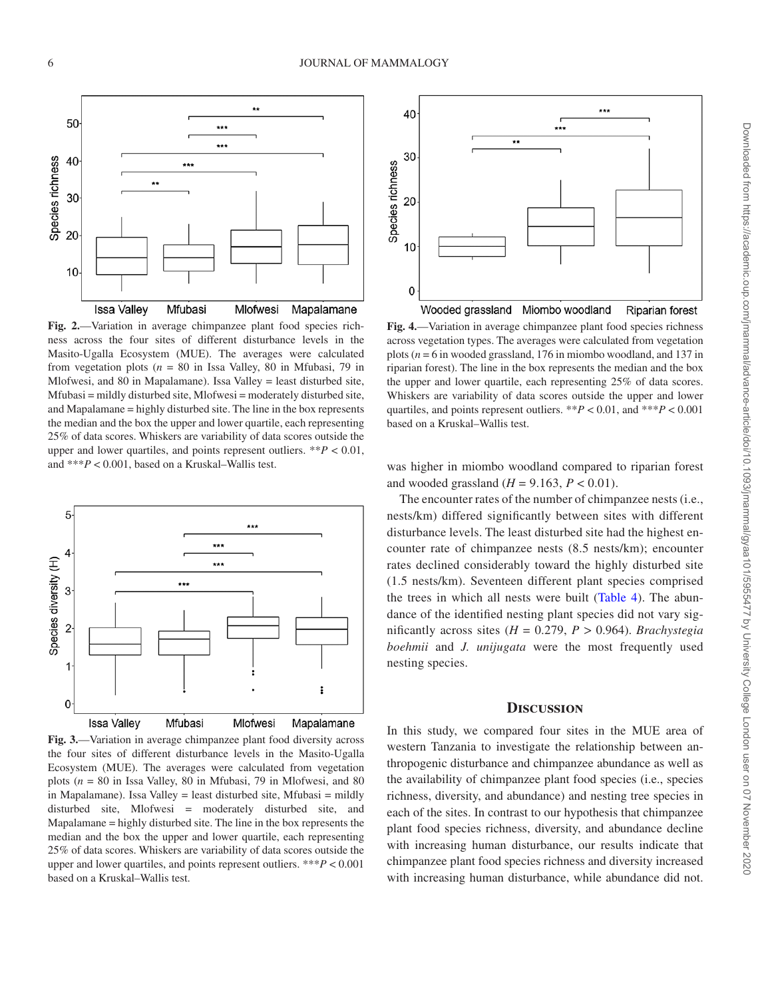

<span id="page-5-0"></span>**Fig. 2.**—Variation in average chimpanzee plant food species richness across the four sites of different disturbance levels in the Masito-Ugalla Ecosystem (MUE). The averages were calculated from vegetation plots ( $n = 80$  in Issa Valley, 80 in Mfubasi, 79 in Mlofwesi, and 80 in Mapalamane). Issa Valley = least disturbed site, Mfubasi = mildly disturbed site, Mlofwesi = moderately disturbed site, and Mapalamane = highly disturbed site. The line in the box represents the median and the box the upper and lower quartile, each representing 25% of data scores. Whiskers are variability of data scores outside the upper and lower quartiles, and points represent outliers. \*\**P* < 0.01, and \*\*\**P* < 0.001, based on a Kruskal–Wallis test.



<span id="page-5-1"></span>**Fig. 3.**—Variation in average chimpanzee plant food diversity across the four sites of different disturbance levels in the Masito-Ugalla Ecosystem (MUE). The averages were calculated from vegetation plots (*n* = 80 in Issa Valley, 80 in Mfubasi, 79 in Mlofwesi, and 80 in Mapalamane). Issa Valley = least disturbed site, Mfubasi = mildly disturbed site, Mlofwesi = moderately disturbed site, and Mapalamane = highly disturbed site. The line in the box represents the median and the box the upper and lower quartile, each representing 25% of data scores. Whiskers are variability of data scores outside the upper and lower quartiles, and points represent outliers. \*\*\**P* < 0.001 based on a Kruskal–Wallis test.



<span id="page-5-2"></span>**Fig. 4.**—Variation in average chimpanzee plant food species richness across vegetation types. The averages were calculated from vegetation plots (*n* = 6 in wooded grassland, 176 in miombo woodland, and 137 in riparian forest). The line in the box represents the median and the box the upper and lower quartile, each representing 25% of data scores. Whiskers are variability of data scores outside the upper and lower quartiles, and points represent outliers. \*\**P* < 0.01, and \*\*\**P* < 0.001 based on a Kruskal–Wallis test.

was higher in miombo woodland compared to riparian forest and wooded grassland  $(H = 9.163, P < 0.01)$ .

The encounter rates of the number of chimpanzee nests (i.e., nests/km) differed significantly between sites with different disturbance levels. The least disturbed site had the highest encounter rate of chimpanzee nests (8.5 nests/km); encounter rates declined considerably toward the highly disturbed site (1.5 nests/km). Seventeen different plant species comprised the trees in which all nests were built ([Table 4\)](#page-6-0). The abundance of the identified nesting plant species did not vary significantly across sites  $(H = 0.279, P > 0.964)$ . *Brachystegia boehmii* and *J. unijugata* were the most frequently used nesting species.

## **Discussion**

In this study, we compared four sites in the MUE area of western Tanzania to investigate the relationship between anthropogenic disturbance and chimpanzee abundance as well as the availability of chimpanzee plant food species (i.e., species richness, diversity, and abundance) and nesting tree species in each of the sites. In contrast to our hypothesis that chimpanzee plant food species richness, diversity, and abundance decline with increasing human disturbance, our results indicate that chimpanzee plant food species richness and diversity increased with increasing human disturbance, while abundance did not.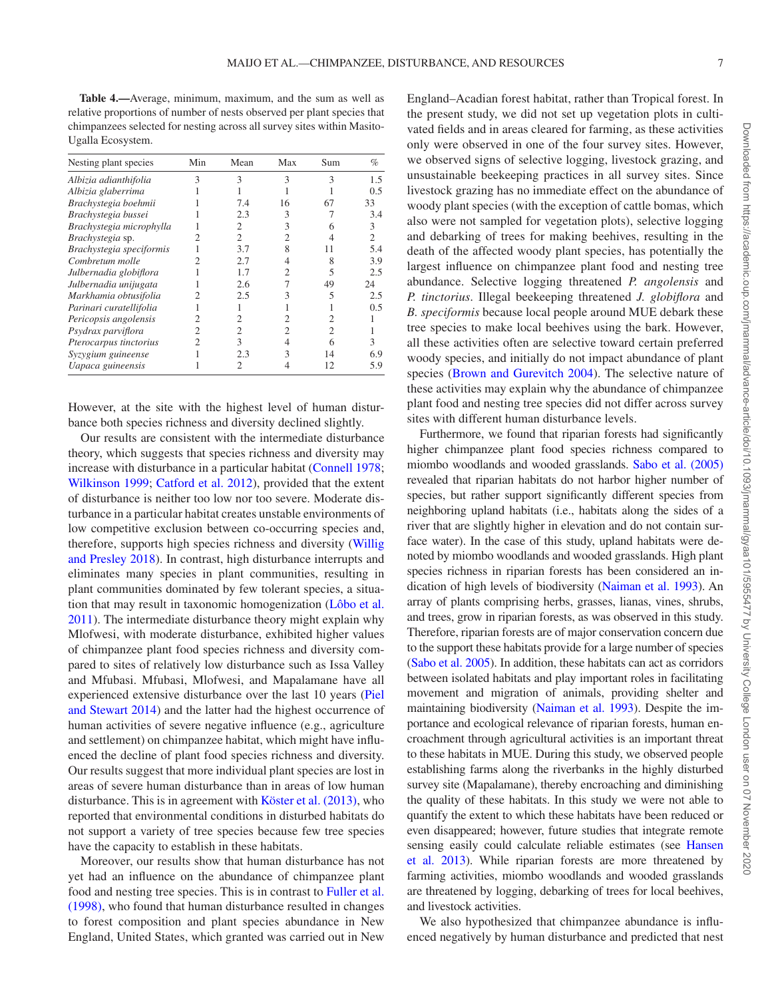<span id="page-6-0"></span>**Table 4.—**Average, minimum, maximum, and the sum as well as relative proportions of number of nests observed per plant species that chimpanzees selected for nesting across all survey sites within Masito-Ugalla Ecosystem.

| Nesting plant species    | Min | Mean | Max            | Sum            | %   |
|--------------------------|-----|------|----------------|----------------|-----|
| Albizia adianthifolia    | 3   | 3    | 3              | 3              | 1.5 |
| Albizia glaberrima       |     |      |                |                | 0.5 |
| Brachystegia boehmii     |     | 7.4  | 16             | 67             | 33  |
| Brachystegia bussei      |     | 2.3  | 3              |                | 3.4 |
| Brachystegia microphylla |     | 2    | 3              | 6              | 3   |
| Brachystegia sp.         |     | 2    | 2              | 4              | 2   |
| Brachystegia speciformis |     | 3.7  | 8              | 11             | 5.4 |
| Combretum molle          |     | 2.7  | 4              | 8              | 3.9 |
| Julbernadia globiflora   |     | 1.7  | $\overline{c}$ | 5              | 2.5 |
| Julbernadia unijugata    |     | 2.6  |                | 49             | 24  |
| Markhamia obtusifolia    |     | 2.5  |                | 5              | 2.5 |
| Parinari curatellifolia  |     |      |                |                | 0.5 |
| Pericopsis angolensis    |     | 2    | 2              | 2              |     |
| Psydrax parviflora       | 2   | 2    | $\overline{c}$ | $\overline{c}$ |     |
| Pterocarpus tinctorius   | 2   | 3    | 4              | 6              | 3   |
| Syzygium guineense       |     | 2.3  | 3              | 14             | 6.9 |
| Uapaca guineensis        |     | 2    | 4              | 12             | 5.9 |

However, at the site with the highest level of human disturbance both species richness and diversity declined slightly.

Our results are consistent with the intermediate disturbance theory, which suggests that species richness and diversity may increase with disturbance in a particular habitat [\(Connell 1978](#page-8-31); [Wilkinson 1999](#page-9-28); [Catford et al. 2012](#page-8-32)), provided that the extent of disturbance is neither too low nor too severe. Moderate disturbance in a particular habitat creates unstable environments of low competitive exclusion between co-occurring species and, therefore, supports high species richness and diversity ([Willig](#page-9-29) [and Presley 2018](#page-9-29)). In contrast, high disturbance interrupts and eliminates many species in plant communities, resulting in plant communities dominated by few tolerant species, a situation that may result in taxonomic homogenization [\(Lôbo et al.](#page-8-33) [2011](#page-8-33)). The intermediate disturbance theory might explain why Mlofwesi, with moderate disturbance, exhibited higher values of chimpanzee plant food species richness and diversity compared to sites of relatively low disturbance such as Issa Valley and Mfubasi. Mfubasi, Mlofwesi, and Mapalamane have all experienced extensive disturbance over the last 10 years [\(Piel](#page-9-16)  [and Stewart 2014](#page-9-16)) and the latter had the highest occurrence of human activities of severe negative influence (e.g., agriculture and settlement) on chimpanzee habitat, which might have influenced the decline of plant food species richness and diversity. Our results suggest that more individual plant species are lost in areas of severe human disturbance than in areas of low human disturbance. This is in agreement with [Köster et al. \(2013\)](#page-8-34), who reported that environmental conditions in disturbed habitats do not support a variety of tree species because few tree species have the capacity to establish in these habitats.

Moreover, our results show that human disturbance has not yet had an influence on the abundance of chimpanzee plant food and nesting tree species. This is in contrast to [Fuller et al.](#page-8-35) [\(1998\),](#page-8-35) who found that human disturbance resulted in changes to forest composition and plant species abundance in New England, United States, which granted was carried out in New England–Acadian forest habitat, rather than Tropical forest. In the present study, we did not set up vegetation plots in cultivated fields and in areas cleared for farming, as these activities only were observed in one of the four survey sites. However, we observed signs of selective logging, livestock grazing, and unsustainable beekeeping practices in all survey sites. Since livestock grazing has no immediate effect on the abundance of woody plant species (with the exception of cattle bomas, which also were not sampled for vegetation plots), selective logging and debarking of trees for making beehives, resulting in the death of the affected woody plant species, has potentially the largest influence on chimpanzee plant food and nesting tree abundance. Selective logging threatened *P. angolensis* and *P. tinctorius*. Illegal beekeeping threatened *J. globiflora* and *B. speciformis* because local people around MUE debark these tree species to make local beehives using the bark. However, all these activities often are selective toward certain preferred woody species, and initially do not impact abundance of plant species ([Brown and Gurevitch 2004\)](#page-8-36). The selective nature of these activities may explain why the abundance of chimpanzee plant food and nesting tree species did not differ across survey sites with different human disturbance levels.

Furthermore, we found that riparian forests had significantly higher chimpanzee plant food species richness compared to miombo woodlands and wooded grasslands. [Sabo et al. \(2005\)](#page-9-30) revealed that riparian habitats do not harbor higher number of species, but rather support significantly different species from neighboring upland habitats (i.e., habitats along the sides of a river that are slightly higher in elevation and do not contain surface water). In the case of this study, upland habitats were denoted by miombo woodlands and wooded grasslands. High plant species richness in riparian forests has been considered an indication of high levels of biodiversity ([Naiman et al. 1993\)](#page-9-31). An array of plants comprising herbs, grasses, lianas, vines, shrubs, and trees, grow in riparian forests, as was observed in this study. Therefore, riparian forests are of major conservation concern due to the support these habitats provide for a large number of species [\(Sabo et al. 2005\)](#page-9-30). In addition, these habitats can act as corridors between isolated habitats and play important roles in facilitating movement and migration of animals, providing shelter and maintaining biodiversity ([Naiman et al. 1993\)](#page-9-31). Despite the importance and ecological relevance of riparian forests, human encroachment through agricultural activities is an important threat to these habitats in MUE. During this study, we observed people establishing farms along the riverbanks in the highly disturbed survey site (Mapalamane), thereby encroaching and diminishing the quality of these habitats. In this study we were not able to quantify the extent to which these habitats have been reduced or even disappeared; however, future studies that integrate remote sensing easily could calculate reliable estimates (see [Hansen](#page-8-37) [et al. 2013](#page-8-37)). While riparian forests are more threatened by farming activities, miombo woodlands and wooded grasslands are threatened by logging, debarking of trees for local beehives, and livestock activities.

We also hypothesized that chimpanzee abundance is influenced negatively by human disturbance and predicted that nest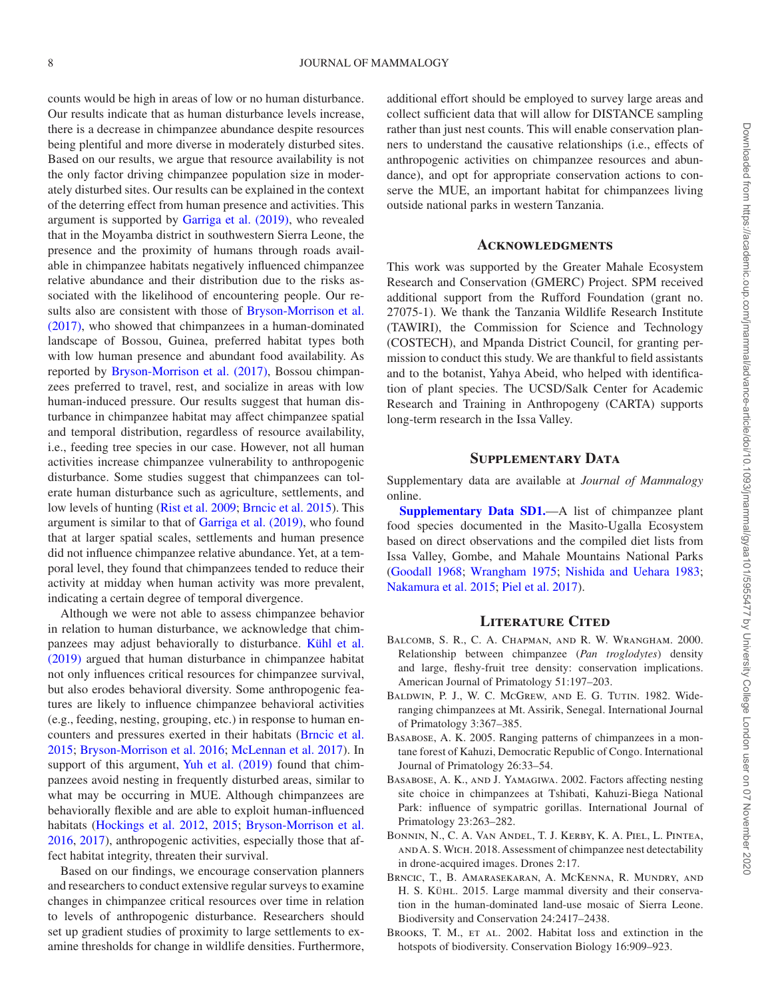counts would be high in areas of low or no human disturbance. Our results indicate that as human disturbance levels increase, there is a decrease in chimpanzee abundance despite resources being plentiful and more diverse in moderately disturbed sites. Based on our results, we argue that resource availability is not the only factor driving chimpanzee population size in moderately disturbed sites. Our results can be explained in the context of the deterring effect from human presence and activities. This argument is supported by [Garriga et al. \(2019\)](#page-8-38), who revealed that in the Moyamba district in southwestern Sierra Leone, the presence and the proximity of humans through roads available in chimpanzee habitats negatively influenced chimpanzee relative abundance and their distribution due to the risks associated with the likelihood of encountering people. Our results also are consistent with those of [Bryson-Morrison et al.](#page-8-6) [\(2017\),](#page-8-6) who showed that chimpanzees in a human-dominated landscape of Bossou, Guinea, preferred habitat types both with low human presence and abundant food availability. As reported by [Bryson-Morrison et al. \(2017\)](#page-8-6), Bossou chimpanzees preferred to travel, rest, and socialize in areas with low human-induced pressure. Our results suggest that human disturbance in chimpanzee habitat may affect chimpanzee spatial and temporal distribution, regardless of resource availability, i.e., feeding tree species in our case. However, not all human activities increase chimpanzee vulnerability to anthropogenic disturbance. Some studies suggest that chimpanzees can tolerate human disturbance such as agriculture, settlements, and low levels of hunting [\(Rist et al. 2009](#page-9-32); [Brncic et al. 2015](#page-7-6)). This argument is similar to that of [Garriga et al. \(2019\)](#page-8-38), who found that at larger spatial scales, settlements and human presence did not influence chimpanzee relative abundance. Yet, at a temporal level, they found that chimpanzees tended to reduce their activity at midday when human activity was more prevalent, indicating a certain degree of temporal divergence.

Although we were not able to assess chimpanzee behavior in relation to human disturbance, we acknowledge that chimpanzees may adjust behaviorally to disturbance. [Kühl et al.](#page-8-20) [\(2019\)](#page-8-20) argued that human disturbance in chimpanzee habitat not only influences critical resources for chimpanzee survival, but also erodes behavioral diversity. Some anthropogenic features are likely to influence chimpanzee behavioral activities (e.g., feeding, nesting, grouping, etc.) in response to human encounters and pressures exerted in their habitats [\(Brncic et al.](#page-7-6) [2015](#page-7-6); [Bryson-Morrison et al. 2016](#page-8-5); [McLennan et al. 2017](#page-8-26)). In support of this argument, Yuh et al. (2019) found that chimpanzees avoid nesting in frequently disturbed areas, similar to what may be occurring in MUE. Although chimpanzees are behaviorally flexible and are able to exploit human-influenced habitats [\(Hockings et al. 2012,](#page-8-3) [2015;](#page-8-4) [Bryson-Morrison et al.](#page-8-5)  [2016,](#page-8-5) [2017](#page-8-6)), anthropogenic activities, especially those that affect habitat integrity, threaten their survival.

Based on our findings, we encourage conservation planners and researchers to conduct extensive regular surveys to examine changes in chimpanzee critical resources over time in relation to levels of anthropogenic disturbance. Researchers should set up gradient studies of proximity to large settlements to examine thresholds for change in wildlife densities. Furthermore, additional effort should be employed to survey large areas and collect sufficient data that will allow for DISTANCE sampling rather than just nest counts. This will enable conservation planners to understand the causative relationships (i.e., effects of anthropogenic activities on chimpanzee resources and abundance), and opt for appropriate conservation actions to conserve the MUE, an important habitat for chimpanzees living outside national parks in western Tanzania.

### **Acknowledgments**

This work was supported by the Greater Mahale Ecosystem Research and Conservation (GMERC) Project. SPM received additional support from the Rufford Foundation (grant no. 27075-1). We thank the Tanzania Wildlife Research Institute (TAWIRI), the Commission for Science and Technology (COSTECH), and Mpanda District Council, for granting permission to conduct this study. We are thankful to field assistants and to the botanist, Yahya Abeid, who helped with identification of plant species. The UCSD/Salk Center for Academic Research and Training in Anthropogeny (CARTA) supports long-term research in the Issa Valley.

## **Supplementary Data**

Supplementary data are available at *Journal of Mammalogy* online.

**[Supplementary Data SD1.](http://academic.oup.com/jmammal/article-lookup/doi/10.1093/jmammal/gyaa101#supplementary-data)**—A list of chimpanzee plant food species documented in the Masito-Ugalla Ecosystem based on direct observations and the compiled diet lists from Issa Valley, Gombe, and Mahale Mountains National Parks [\(Goodall 1968;](#page-8-9) [Wrangham 1975;](#page-9-25) [Nishida and Uehara 1983](#page-9-2); [Nakamura et al. 2015](#page-9-7); [Piel et al. 2017](#page-9-8)).

# **Literature Cited**

- <span id="page-7-5"></span>BALCOMB, S. R., C. A. CHAPMAN, AND R. W. WRANGHAM. 2000. Relationship between chimpanzee (*Pan troglodytes*) density and large, fleshy-fruit tree density: conservation implications. American Journal of Primatology 51:197–203.
- <span id="page-7-1"></span>BALDWIN, P. J., W. C. McGrew, AND E. G. TUTIN. 1982. Wideranging chimpanzees at Mt. Assirik, Senegal. International Journal of Primatology 3:367–385.
- <span id="page-7-2"></span>Basabose, A. K. 2005. Ranging patterns of chimpanzees in a montane forest of Kahuzi, Democratic Republic of Congo. International Journal of Primatology 26:33–54.
- <span id="page-7-3"></span>Basabose, A. K., and J. Yamagiwa. 2002. Factors affecting nesting site choice in chimpanzees at Tshibati, Kahuzi-Biega National Park: influence of sympatric gorillas. International Journal of Primatology 23:263–282.
- <span id="page-7-4"></span>Bonnin, N., C. A. Van Andel, T. J. Kerby, K. A. Piel, L. Pintea, and A. S. Wich. 2018. Assessment of chimpanzee nest detectability in drone-acquired images. Drones 2:17.
- <span id="page-7-6"></span>BRNCIC, T., B. AMARASEKARAN, A. MCKENNA, R. MUNDRY, AND H. S. KÜHL. 2015. Large mammal diversity and their conservation in the human-dominated land-use mosaic of Sierra Leone. Biodiversity and Conservation 24:2417–2438.
- <span id="page-7-0"></span>BROOKS, T. M., ET AL. 2002. Habitat loss and extinction in the hotspots of biodiversity. Conservation Biology 16:909–923.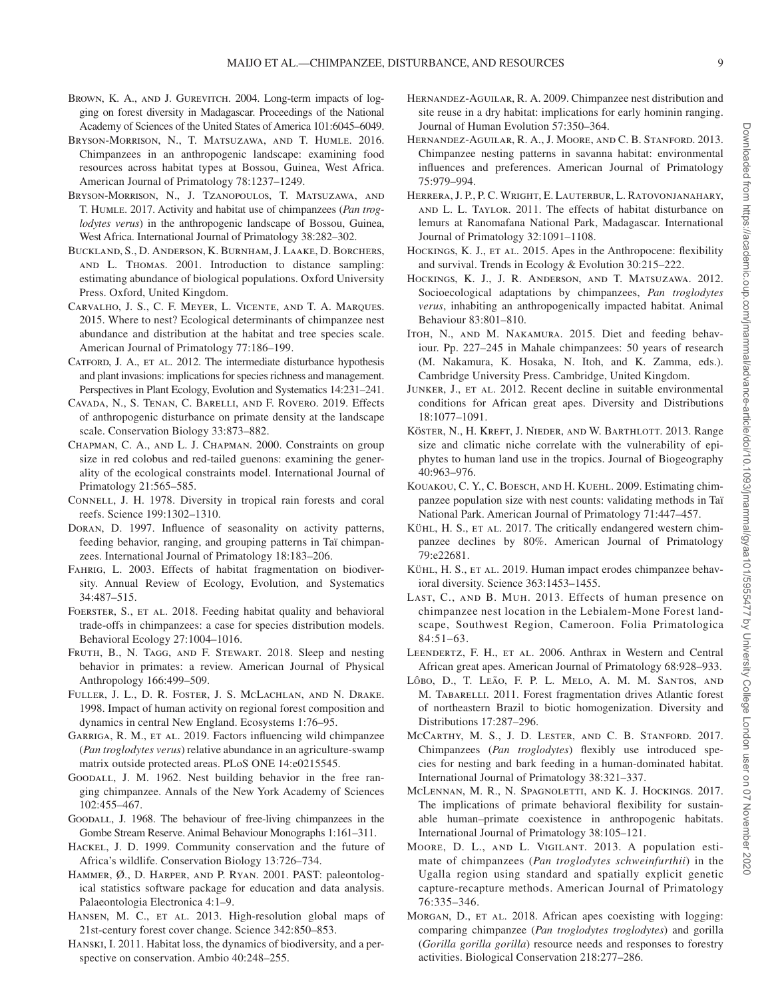- <span id="page-8-36"></span>BROWN, K. A., AND J. GUREVITCH. 2004. Long-term impacts of logging on forest diversity in Madagascar. Proceedings of the National Academy of Sciences of the United States of America 101:6045–6049.
- <span id="page-8-5"></span>Bryson-Morrison, N., T. Matsuzawa, and T. Humle. 2016. Chimpanzees in an anthropogenic landscape: examining food resources across habitat types at Bossou, Guinea, West Africa. American Journal of Primatology 78:1237–1249.
- <span id="page-8-6"></span>Bryson-Morrison, N., J. Tzanopoulos, T. Matsuzawa, and T. Humle. 2017. Activity and habitat use of chimpanzees (*Pan troglodytes verus*) in the anthropogenic landscape of Bossou, Guinea, West Africa. International Journal of Primatology 38:282–302.
- <span id="page-8-29"></span>Buckland, S., D. Anderson, K. Burnham, J. Laake, D. Borchers, and L. Thomas. 2001. Introduction to distance sampling: estimating abundance of biological populations. Oxford University Press. Oxford, United Kingdom.
- <span id="page-8-11"></span>Carvalho, J. S., C. F. Meyer, L. Vicente, and T. A. Marques. 2015. Where to nest? Ecological determinants of chimpanzee nest abundance and distribution at the habitat and tree species scale. American Journal of Primatology 77:186–199.
- <span id="page-8-32"></span>CATFORD, J. A., ET AL. 2012. The intermediate disturbance hypothesis and plant invasions: implications for species richness and management. Perspectives in Plant Ecology, Evolution and Systematics 14:231–241.
- <span id="page-8-23"></span>Cavada, N., S. Tenan, C. Barelli, and F. Rovero. 2019. Effects of anthropogenic disturbance on primate density at the landscape scale. Conservation Biology 33:873–882.
- <span id="page-8-22"></span>Chapman, C. A., and L. J. Chapman. 2000. Constraints on group size in red colobus and red-tailed guenons: examining the generality of the ecological constraints model. International Journal of Primatology 21:565–585.
- <span id="page-8-31"></span>CONNELL, J. H. 1978. Diversity in tropical rain forests and coral reefs. Science 199:1302–1310.
- <span id="page-8-8"></span>Doran, D. 1997. Influence of seasonality on activity patterns, feeding behavior, ranging, and grouping patterns in Taï chimpanzees. International Journal of Primatology 18:183–206.
- <span id="page-8-1"></span>FAHRIG, L. 2003. Effects of habitat fragmentation on biodiversity. Annual Review of Ecology, Evolution, and Systematics 34:487–515.
- <span id="page-8-7"></span>FOERSTER, S., ET AL. 2018. Feeding habitat quality and behavioral trade-offs in chimpanzees: a case for species distribution models. Behavioral Ecology 27:1004–1016.
- <span id="page-8-12"></span>FRUTH, B., N. TAGG, AND F. STEWART. 2018. Sleep and nesting behavior in primates: a review. American Journal of Physical Anthropology 166:499–509.
- <span id="page-8-35"></span>Fuller, J. L., D. R. Foster, J. S. McLachlan, and N. Drake. 1998. Impact of human activity on regional forest composition and dynamics in central New England. Ecosystems 1:76–95.
- <span id="page-8-38"></span>GARRIGA, R. M., ET AL. 2019. Factors influencing wild chimpanzee (*Pan troglodytes verus*) relative abundance in an agriculture-swamp matrix outside protected areas. PLoS ONE 14:e0215545.
- <span id="page-8-13"></span>GOODALL, J. M. 1962. Nest building behavior in the free ranging chimpanzee. Annals of the New York Academy of Sciences 102:455–467.
- <span id="page-8-9"></span>Goodall, J. 1968. The behaviour of free-living chimpanzees in the Gombe Stream Reserve. Animal Behaviour Monographs 1:161–311.
- <span id="page-8-0"></span>HACKEL, J. D. 1999. Community conservation and the future of Africa's wildlife. Conservation Biology 13:726–734.
- <span id="page-8-30"></span>Hammer, Ø., D. Harper, and P. Ryan. 2001. PAST: paleontological statistics software package for education and data analysis. Palaeontologia Electronica 4:1–9.
- <span id="page-8-37"></span>HANSEN, M. C., ET AL. 2013. High-resolution global maps of 21st-century forest cover change. Science 342:850–853.
- <span id="page-8-2"></span>Hanski, I. 2011. Habitat loss, the dynamics of biodiversity, and a perspective on conservation. Ambio 40:248–255.
- <span id="page-8-14"></span>Hernandez-Aguilar, R. A. 2009. Chimpanzee nest distribution and site reuse in a dry habitat: implications for early hominin ranging. Journal of Human Evolution 57:350–364.
- <span id="page-8-16"></span>Hernandez-Aguilar, R. A., J. Moore, and C. B. Stanford. 2013. Chimpanzee nesting patterns in savanna habitat: environmental influences and preferences. American Journal of Primatology 75:979–994.
- <span id="page-8-24"></span>Herrera, J. P., P. C. Wright, E. Lauterbur, L. Ratovonjanahary, and L. L. Taylor. 2011. The effects of habitat disturbance on lemurs at Ranomafana National Park, Madagascar. International Journal of Primatology 32:1091–1108.
- <span id="page-8-4"></span>HOCKINGS, K. J., ET AL. 2015. Apes in the Anthropocene: flexibility and survival. Trends in Ecology & Evolution 30:215–222.
- <span id="page-8-3"></span>HOCKINGS, K. J., J. R. ANDERSON, AND T. MATSUZAWA. 2012. Socioecological adaptations by chimpanzees, *Pan troglodytes verus*, inhabiting an anthropogenically impacted habitat. Animal Behaviour 83:801–810.
- <span id="page-8-10"></span>ITOH, N., AND M. NAKAMURA. 2015. Diet and feeding behaviour. Pp. 227–245 in Mahale chimpanzees: 50 years of research (M. Nakamura, K. Hosaka, N. Itoh, and K. Zamma, eds.). Cambridge University Press. Cambridge, United Kingdom.
- <span id="page-8-18"></span>JUNKER, J., ET AL. 2012. Recent decline in suitable environmental conditions for African great apes. Diversity and Distributions 18:1077–1091.
- <span id="page-8-34"></span>Köster, N., H. Kreft, J. Nieder, and W. Barthlott. 2013. Range size and climatic niche correlate with the vulnerability of epiphytes to human land use in the tropics. Journal of Biogeography 40:963–976.
- <span id="page-8-28"></span>Kouakou, C. Y., C. Boesch, and H. Kuehl. 2009. Estimating chimpanzee population size with nest counts: validating methods in Taï National Park. American Journal of Primatology 71:447–457.
- <span id="page-8-17"></span>KÜHL, H. S., ET AL. 2017. The critically endangered western chimpanzee declines by 80%. American Journal of Primatology 79:e22681.
- <span id="page-8-20"></span>KÜHL, H. S., ET AL. 2019. Human impact erodes chimpanzee behavioral diversity. Science 363:1453–1455.
- <span id="page-8-15"></span>LAST, C., AND B. MUH. 2013. Effects of human presence on chimpanzee nest location in the Lebialem-Mone Forest landscape, Southwest Region, Cameroon. Folia Primatologica 84:51–63.
- <span id="page-8-19"></span>LEENDERTZ, F. H., ET AL. 2006. Anthrax in Western and Central African great apes. American Journal of Primatology 68:928–933.
- <span id="page-8-33"></span>Lôbo, D., T. Leão, F. P. L. Melo, A. M. M. Santos, and M. TABARELLI. 2011. Forest fragmentation drives Atlantic forest of northeastern Brazil to biotic homogenization. Diversity and Distributions 17:287–296.
- <span id="page-8-25"></span>MCCARTHY, M. S., J. D. LESTER, AND C. B. STANFORD. 2017. Chimpanzees (*Pan troglodytes*) flexibly use introduced species for nesting and bark feeding in a human-dominated habitat. International Journal of Primatology 38:321–337.
- <span id="page-8-26"></span>McLennan, M. R., N. Spagnoletti, and K. J. Hockings. 2017. The implications of primate behavioral flexibility for sustainable human–primate coexistence in anthropogenic habitats. International Journal of Primatology 38:105–121.
- <span id="page-8-21"></span>Moore, D. L., and L. Vigilant. 2013. A population estimate of chimpanzees (*Pan troglodytes schweinfurthii*) in the Ugalla region using standard and spatially explicit genetic capture-recapture methods. American Journal of Primatology 76:335–346.
- <span id="page-8-27"></span>MORGAN, D., ET AL. 2018. African apes coexisting with logging: comparing chimpanzee (*Pan troglodytes troglodytes*) and gorilla (*Gorilla gorilla gorilla*) resource needs and responses to forestry activities. Biological Conservation 218:277–286.